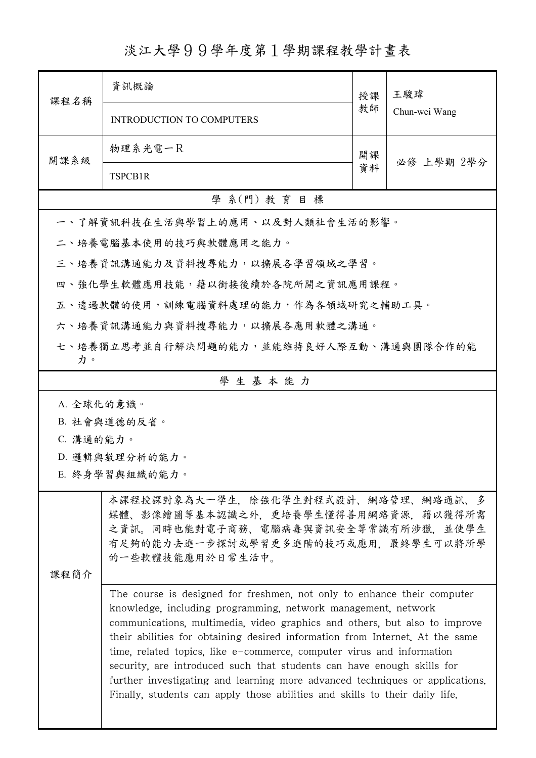淡江大學99學年度第1學期課程教學計畫表

| 課程名稱                                          | 資訊概論                                                                                                                                                                                                                                                                                                                                                                                                                                                                                                                                                                                                                     | 授課 | 王駿瑋           |  |  |  |
|-----------------------------------------------|--------------------------------------------------------------------------------------------------------------------------------------------------------------------------------------------------------------------------------------------------------------------------------------------------------------------------------------------------------------------------------------------------------------------------------------------------------------------------------------------------------------------------------------------------------------------------------------------------------------------------|----|---------------|--|--|--|
|                                               | <b>INTRODUCTION TO COMPUTERS</b>                                                                                                                                                                                                                                                                                                                                                                                                                                                                                                                                                                                         |    | Chun-wei Wang |  |  |  |
| 開課系級                                          | 物理系光電一R                                                                                                                                                                                                                                                                                                                                                                                                                                                                                                                                                                                                                  | 開課 |               |  |  |  |
|                                               | TSPCB1R                                                                                                                                                                                                                                                                                                                                                                                                                                                                                                                                                                                                                  |    | 必修 上學期 2學分    |  |  |  |
| 學 系(門) 教育目標                                   |                                                                                                                                                                                                                                                                                                                                                                                                                                                                                                                                                                                                                          |    |               |  |  |  |
| 一、了解資訊科技在生活與學習上的應用、以及對人類社會生活的影響。              |                                                                                                                                                                                                                                                                                                                                                                                                                                                                                                                                                                                                                          |    |               |  |  |  |
| 二、培養電腦基本使用的技巧與軟體應用之能力。                        |                                                                                                                                                                                                                                                                                                                                                                                                                                                                                                                                                                                                                          |    |               |  |  |  |
| 三、培養資訊溝通能力及資料搜尋能力,以擴展各學習領域之學習。                |                                                                                                                                                                                                                                                                                                                                                                                                                                                                                                                                                                                                                          |    |               |  |  |  |
| 四、強化學生軟體應用技能,藉以銜接後續於各院所開之資訊應用課程。              |                                                                                                                                                                                                                                                                                                                                                                                                                                                                                                                                                                                                                          |    |               |  |  |  |
| 五、透過軟體的使用,訓練電腦資料處理的能力,作為各領域研究之輔助工具。           |                                                                                                                                                                                                                                                                                                                                                                                                                                                                                                                                                                                                                          |    |               |  |  |  |
| 六、培養資訊溝通能力與資料搜尋能力,以擴展各應用軟體之溝通。                |                                                                                                                                                                                                                                                                                                                                                                                                                                                                                                                                                                                                                          |    |               |  |  |  |
| 七、培養獨立思考並自行解決問題的能力,並能維持良好人際互動、溝通與團隊合作的能<br>力。 |                                                                                                                                                                                                                                                                                                                                                                                                                                                                                                                                                                                                                          |    |               |  |  |  |
| 學生基本能力                                        |                                                                                                                                                                                                                                                                                                                                                                                                                                                                                                                                                                                                                          |    |               |  |  |  |
| A. 全球化的意識。                                    |                                                                                                                                                                                                                                                                                                                                                                                                                                                                                                                                                                                                                          |    |               |  |  |  |
| B. 社會與道德的反省。                                  |                                                                                                                                                                                                                                                                                                                                                                                                                                                                                                                                                                                                                          |    |               |  |  |  |
| C. 溝通的能力。                                     |                                                                                                                                                                                                                                                                                                                                                                                                                                                                                                                                                                                                                          |    |               |  |  |  |
| D. 邏輯與數理分析的能力。                                |                                                                                                                                                                                                                                                                                                                                                                                                                                                                                                                                                                                                                          |    |               |  |  |  |
| E. 終身學習與組織的能力。                                |                                                                                                                                                                                                                                                                                                                                                                                                                                                                                                                                                                                                                          |    |               |  |  |  |
| 課程簡介                                          | 本課程授課對象為大一學生,除強化學生對程式設計、網路管理、網路通訊、多<br>媒體、影像繪圖等基本認識之外,更培養學生懂得善用網路資源,藉以獲得所需<br>之資訊。同時也能對電子商務、電腦病毒與資訊安全等常識有所涉獵,並使學生<br>有足夠的能力去進一步探討或學習更多進階的技巧或應用,最終學生可以將所學<br>的一些軟體技能應用於日常生活中。                                                                                                                                                                                                                                                                                                                                                                                                                                             |    |               |  |  |  |
|                                               | The course is designed for freshmen, not only to enhance their computer<br>knowledge, including programming, network management, network<br>communications, multimedia, video graphics and others, but also to improve<br>their abilities for obtaining desired information from Internet. At the same<br>time, related topics, like e-commerce, computer virus and information<br>security, are introduced such that students can have enough skills for<br>further investigating and learning more advanced techniques or applications.<br>Finally, students can apply those abilities and skills to their daily life. |    |               |  |  |  |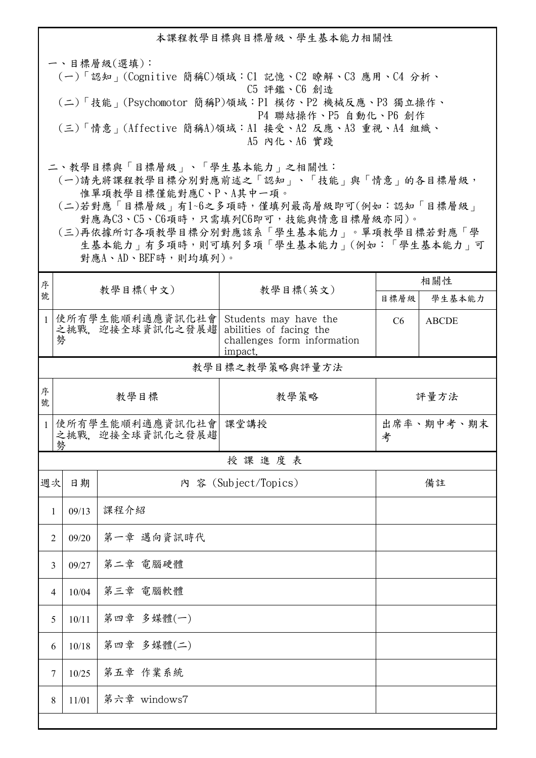本課程教學目標與目標層級、學生基本能力相關性

一、目標層級(選填): (一)「認知」(Cognitive 簡稱C)領域:C1 記憶、C2 瞭解、C3 應用、C4 分析、 C5 評鑑、C6 創造 (二)「技能」(Psychomotor 簡稱P)領域:P1 模仿、P2 機械反應、P3 獨立操作、 P4 聯結操作、P5 自動化、P6 創作 (三)「情意」(Affective 簡稱A)領域:A1 接受、A2 反應、A3 重視、A4 組織、 A5 內化、A6 實踐

二、教學目標與「目標層級」、「學生基本能力」之相關性:

 (一)請先將課程教學目標分別對應前述之「認知」、「技能」與「情意」的各目標層級, 惟單項教學目標僅能對應C、P、A其中一項。

 (二)若對應「目標層級」有1~6之多項時,僅填列最高層級即可(例如:認知「目標層級」 對應為C3、C5、C6項時,只需填列C6即可,技能與情意目標層級亦同)。

 (三)再依據所訂各項教學目標分別對應該系「學生基本能力」。單項教學目標若對應「學 生基本能力」有多項時,則可填列多項「學生基本能力」(例如:「學生基本能力」可 對應A、AD、BEF時,則均填列)。

| 序            | 教學目標(中文)                 |                                      |                                                                                            | 相關性             |              |  |  |  |  |
|--------------|--------------------------|--------------------------------------|--------------------------------------------------------------------------------------------|-----------------|--------------|--|--|--|--|
| 號            |                          |                                      | 教學目標(英文)                                                                                   | 目標層級            | 學生基本能力       |  |  |  |  |
|              | 勢                        | 1 使所有學生能順利適應資訊化社會<br>之挑戰。迎接全球資訊化之發展趨 | Students may have the<br>abilities of facing the<br>challenges form information<br>impact. | C6              | <b>ABCDE</b> |  |  |  |  |
|              | 教學目標之教學策略與評量方法           |                                      |                                                                                            |                 |              |  |  |  |  |
| 序<br>號       | 教學目標                     |                                      | 教學策略                                                                                       | 評量方法            |              |  |  |  |  |
| $\mathbf{1}$ | 勢                        | 使所有學生能順利適應資訊化社會<br>之挑戰、迎接全球資訊化之發展趨   | 課堂講授                                                                                       | 出席率、期中考、期末<br>考 |              |  |  |  |  |
| 授課進度表        |                          |                                      |                                                                                            |                 |              |  |  |  |  |
| 週次           | 日期                       |                                      | 內 容 (Subject/Topics)                                                                       |                 | 備註           |  |  |  |  |
| 1            | 課程介紹<br>09/13            |                                      |                                                                                            |                 |              |  |  |  |  |
|              | 第一章 邁向資訊時代<br>09/20<br>2 |                                      |                                                                                            |                 |              |  |  |  |  |
|              | 09/27<br>3               | 第二章 電腦硬體                             |                                                                                            |                 |              |  |  |  |  |
|              | 10/04<br>$\overline{4}$  | 第三章 電腦軟體                             |                                                                                            |                 |              |  |  |  |  |
|              | 10/11<br>5               | 第四章 多媒體(一)                           |                                                                                            |                 |              |  |  |  |  |
|              | 10/18<br>6               | 第四章 多媒體(二)                           |                                                                                            |                 |              |  |  |  |  |
|              | 10/25<br>7               | 第五章 作業系統                             |                                                                                            |                 |              |  |  |  |  |
|              | 8<br>11/01               | 第六章 windows7                         |                                                                                            |                 |              |  |  |  |  |
|              |                          |                                      |                                                                                            |                 |              |  |  |  |  |